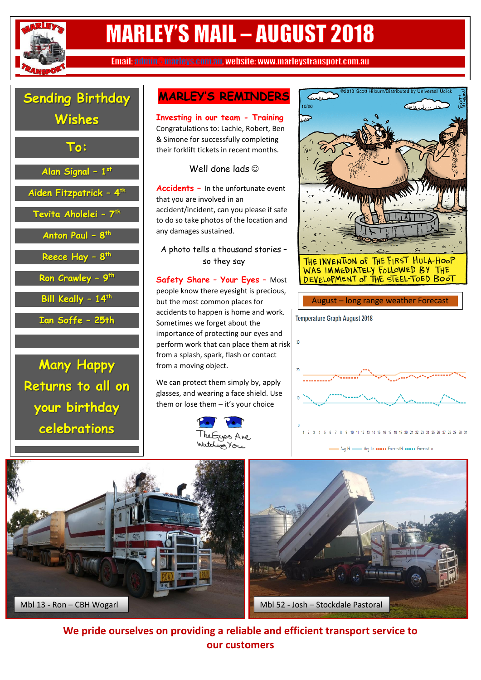

# **MARLEY'S MAIL - AUGUST 2018**

Email: admin @marleys.com.au. website: www.marleystransport.com.au



**Many Happy Returns to all on your birthday celebrations**

## **MARLEY'S REMINDERS**

**Investing in our team - Training**  Congratulations to: Lachie, Robert, Ben & Simone for successfully completing their forklift tickets in recent months.

Well done lads

**Accidents –** In the unfortunate event that you are involved in an accident/incident, can you please if safe to do so take photos of the location and any damages sustained.

A photo tells a thousand stories – so they say

**Safety Share – Your Eyes –** Most people know there eyesight is precious, but the most common places for accidents to happen is home and work. Sometimes we forget about the importance of protecting our eyes and perform work that can place them at risk  $\frac{30}{2}$ from a splash, spark, flash or contact from a moving object.

We can protect them simply by, apply glasses, and wearing a face shield. Use them or lose them – it's your choice





THE INVENTION OF THE FIRST HULA-HOOP WAS IMMEDIATELY FOLLOWED BY THE DEVELOPMENT OF THE STEEL-TOED BOOT

#### August – long range weather Forecast







**We pride ourselves on providing a reliable and efficient transport service to our customers**